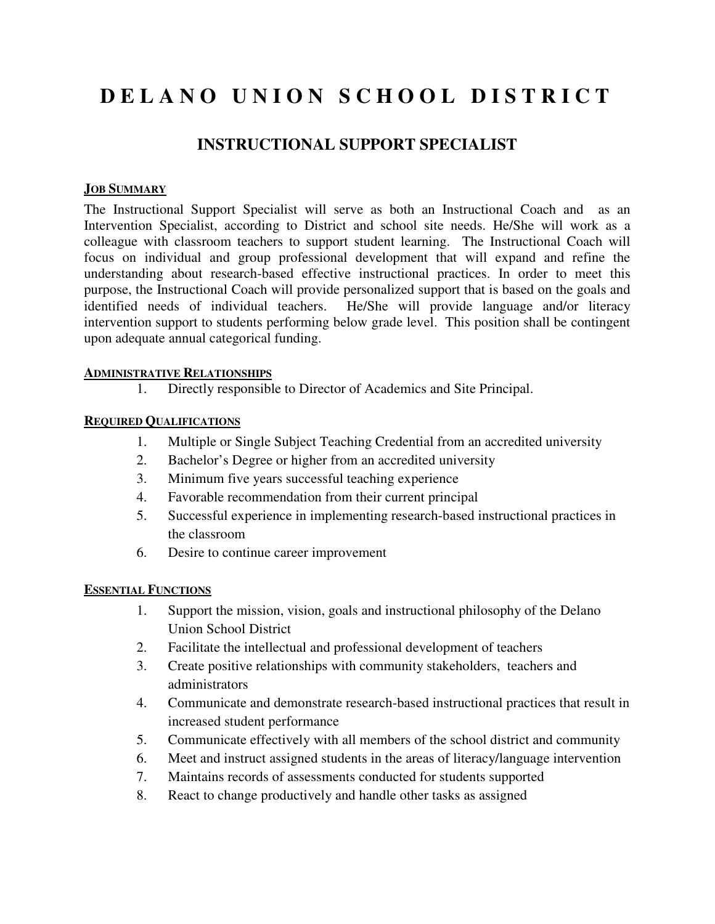# **D E L A N O U N I O N S C H O O L D I S T R I C T**

## **INSTRUCTIONAL SUPPORT SPECIALIST**

### **JOB SUMMARY**

The Instructional Support Specialist will serve as both an Instructional Coach and as an Intervention Specialist, according to District and school site needs. He/She will work as a colleague with classroom teachers to support student learning. The Instructional Coach will focus on individual and group professional development that will expand and refine the understanding about research-based effective instructional practices. In order to meet this purpose, the Instructional Coach will provide personalized support that is based on the goals and identified needs of individual teachers. He/She will provide language and/or literacy intervention support to students performing below grade level. This position shall be contingent upon adequate annual categorical funding.

#### **ADMINISTRATIVE RELATIONSHIPS**

1. Directly responsible to Director of Academics and Site Principal.

#### **REQUIRED QUALIFICATIONS**

- 1. Multiple or Single Subject Teaching Credential from an accredited university
- 2. Bachelor's Degree or higher from an accredited university
- 3. Minimum five years successful teaching experience
- 4. Favorable recommendation from their current principal
- 5. Successful experience in implementing research-based instructional practices in the classroom
- 6. Desire to continue career improvement

#### **ESSENTIAL FUNCTIONS**

- 1. Support the mission, vision, goals and instructional philosophy of the Delano Union School District
- 2. Facilitate the intellectual and professional development of teachers
- 3. Create positive relationships with community stakeholders, teachers and administrators
- 4. Communicate and demonstrate research-based instructional practices that result in increased student performance
- 5. Communicate effectively with all members of the school district and community
- 6. Meet and instruct assigned students in the areas of literacy/language intervention
- 7. Maintains records of assessments conducted for students supported
- 8. React to change productively and handle other tasks as assigned